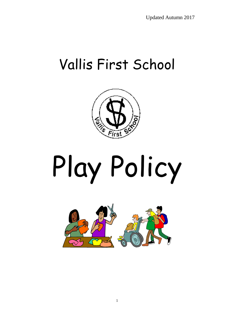## Vallis First School



# Play Policy

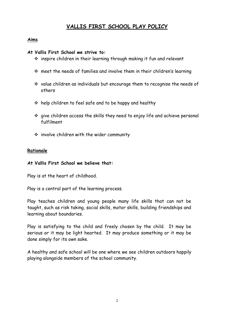### **VALLIS FIRST SCHOOL PLAY POLICY**

#### **Aims**

#### **At Vallis First School we strive to:**

- $\cdot$  inspire children in their learning through making it fun and relevant
- $\cdot$  meet the needs of families and involve them in their children's learning
- $\cdot$  value children as individuals but encourage them to recognise the needs of others
- $\cdot$  help children to feel safe and to be happy and healthy
- give children access the skills they need to enjoy life and achieve personal fulfilment
- $\cdot$  involve children with the wider community

#### **Rationale**

#### **At Vallis First School we believe that:**

Play is at the heart of childhood.

Play is a central part of the learning process.

Play teaches children and young people many life skills that can not be taught, such as risk taking, social skills, motor skills, building friendships and learning about boundaries.

Play is satisfying to the child and freely chosen by the child. It may be serious or it may be light hearted. It may produce something or it may be done simply for its own sake.

A healthy and safe school will be one where we see children outdoors happily playing alongside members of the school community.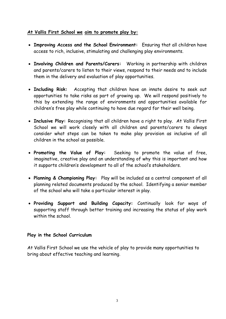#### **At Vallis First School we aim to promote play by:**

- **Improving Access and the School Environment:** Ensuring that all children have access to rich, inclusive, stimulating and challenging play environments.
- **Involving Children and Parents/Carers:** Working in partnership with children and parents/carers to listen to their views, respond to their needs and to include them in the delivery and evaluation of play opportunities.
- **Including Risk:** Accepting that children have an innate desire to seek out opportunities to take risks as part of growing up. We will respond positively to this by extending the range of environments and opportunities available for children's free play while continuing to have due regard for their well being.
- **Inclusive Play:** Recognising that all children have a right to play. At Vallis First School we will work closely with all children and parents/carers to always consider what steps can be taken to make play provision as inclusive of all children in the school as possible.
- **Promoting the Value of Play:** Seeking to promote the value of free, imaginative, creative play and an understanding of why this is important and how it supports children's development to all of the school's stakeholders.
- **Planning & Championing Play:** Play will be included as a central component of all planning related documents produced by the school. Identifying a senior member of the school who will take a particular interest in play.
- **Providing Support and Building Capacity:** Continually look for ways of supporting staff through better training and increasing the status of play work within the school.

#### **Play in the School Curriculum**

At Vallis First School we use the vehicle of play to provide many opportunities to bring about effective teaching and learning.